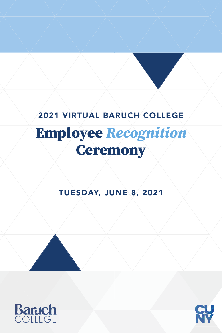# 2021 VIRTUAL BARUCH COLLEGE

# **Ceremony Employee** *Recognition*<br>**Geremony**

# TUESDAY, JUNE 8, 2021





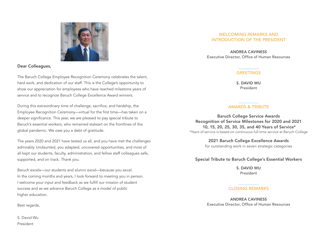

Dear Colleagues,

The Baruch College Employee Recognition Ceremony celebrates the talent, hard work, and dedication of our staff. This is the College's opportunity to show our appreciation for employees who have reached milestone years of service and to recognize Baruch College Excellence Award winners.

During this extraordinary time of challenge, sacrifice, and hardship, the Employee Recognition Ceremony—virtual for the first time—has taken on a deeper significance. This year, we are pleased to pay special tribute to Baruch's essential workers, who remained stalwart on the frontlines of the global pandemic. We owe you a debt of gratitude.

The years 2020 and 2021 have tested us all, and you have met the challenges admirably. Undaunted, you adapted, uncovered opportunities, and most of all kept our students, faculty, administration, and fellow staff colleagues safe, supported, and on track. *Thank you.*

Baruch excels—our students and alumni excel—because you excel. In the coming months and years, I look forward to meeting you in person. I welcome your input and feedback as we fulfill our mission of student success and as we advance Baruch College as a model of public higher education.

Best regards,

S. David Wu President

#### WELCOMING REMARKS AND INTRODUCTION OF THE PRESIDENT

ANDREA CAVINESS Executive Director, Office of Human Resources

#### **GREETINGS**

S. DAVID WU President

#### AWARDS & TRIBUTE

Baruch College Service Awards Recognition of Service Milestones for 2020 and 2021 10, 15, 20, 25, 30, 35, and 40 Years of Service\* \*Years of service is based on continuous full-time service at Baruch College

> 2021 Baruch College Excellence Awards for outstanding work in seven strategic categories

#### Special Tribute to Baruch College's Essential Workers

S. DAVID WU President

#### CLOSING REMARKS

ANDREA CAVINESS Executive Director, Office of Human Resources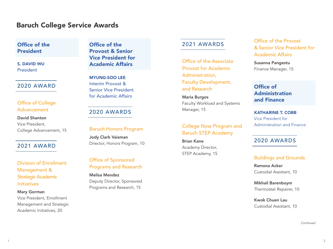# Baruch College Service Awards

## Office of the President

S. DAVID WU President

#### 2020 AWARD

## Office of College Advancement

David Shanton Vice President, College Advancement, 15

## 2021 AWARD

Division of Enrollment Management & Strategic Academic **Initiatives** 

#### Mary Gorman Vice President, Enrollment Management and Strategic Academic Initiatives, 20

Office of the Provost & Senior Vice President for Academic Affairs

MYUNG-SOO LEE Interim Provost & Senior Vice President for Academic Affairs

## 2020 AWARDS

#### Baruch Honors Program

Jody Clark Vaisman Director, Honors Program, 10

## Office of Sponsored Programs and Research

Melisa Mendez Deputy Director, Sponsored Programs and Research, 15

## 2021 AWARDS

Office of the Associate Provost for Academic Administration, Faculty Development, and Research

Maria Burgos Faculty Workload and Systems Manager, 15

## College Now Program and Baruch STEP Academy

Brian Kane Academy Director, STEP Academy, 15

Office of the Provost & Senior Vice President for Academic Affairs

Susanna Pangestu Finance Manager, 15

## Office of Administration and Finance

KATHARINE T. COBB Vice President for Administration and Finance

## 2020 AWARDS

#### Buildings and Grounds

Ramona Acker Custodial Assistant, 10

Mikhail Barenboym Thermostat Repairer, 10

Kwok Chuen Lau Custodial Assistant, 10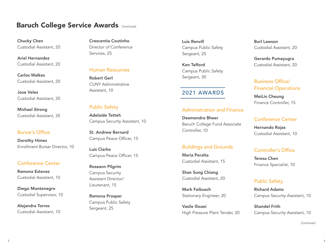Chucky Chen Custodial Assistant, 20

Ariel Hernandez Custodial Assistant, 20

Carlos Walkes Custodial Assistant, 20

Jose Velez Custodial Assistant, 30

Michael Strong Custodial Assistant, 35

#### Bursar's Office

Dorothy Himes Enrollment Bursar Director, 10

#### Conference Center

Ramona Estevez Custodial Assistant, 10

Diego Montenegro Custodial Supervisor, 10

Alejandra Torres Custodial Assistant, 10

Crescentia Coutinho Director of Conference Services, 25

#### Human Resources

Robert Gerl CUNY Administrative Assistant, 10

#### Public Safety

Adelaide Tetteh Campus Security Assistant, 10

St. Andrew Bernard Campus Peace Officer, 15

Luis Clarke Campus Peace Officer, 15

Roseann Pilgrim Campus Security Assistant Director/ Lieutenant, 15

Ramona Prosper Campus Public Safety Sergeant, 25

Luis Renvill Campus Public Safety Sergeant, 25

Ken Telford Campus Public Safety Sergeant, 30

## 2021 AWARDS

#### Administration and Finance

Deemendra Bheer Baruch College Fund Associate Controller, 10

#### Buildings and Grounds

Maria Peralta Custodial Assistant, 15

Shan Sung Chiang Custodial Assistant, 20

Mark Feibusch Stationary Engineer, 20

Vasile llioaei High Pressure Plant Tender, 20

Burl Lawson Custodial Assistant, 20

Gerardo Pumayugra Custodial Assistant, 20

## Business Office/ Financial Operations

MeiLin Cheung Finance Controller, 15

#### Conference Center

Hernando Rojas Custodial Assistant, 10

### Controller's Office

Teresa Chen Finance Specialist, 10

### Public Safety

Richard Adams Campus Security Assistant, 10

Shandel Frith Campus Security Assistant, 10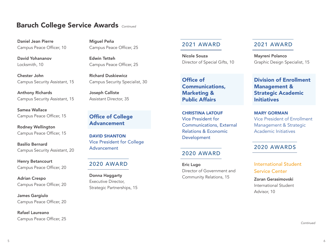Daniel Jean Pierre Campus Peace Officer, 10

David Yohananov Locksmith, 10

Chester John Campus Security Assistant, 15

Anthony Richards Campus Security Assistant, 15

Samea Wallace Campus Peace Officer, 15

Rodney Wellington Campus Peace Officer, 15

Basilio Bernard Campus Security Assistant, 20

Henry Betancourt Campus Peace Officer, 20

Adrian Crespo Campus Peace Officer, 20

James Gargiulo Campus Peace Officer, 20

Rafael Laureano Campus Peace Officer, 25

Miguel Peña Campus Peace Officer, 25

Edwin Tetteh Campus Peace Officer, 25

Richard Duskiewicz Campus Security Specialist, 30

Joseph Calliste Assistant Director, 35

## Office of College Advancement

DAVID SHANTON Vice President for College Advancement

## 2020 AWARD

 Donna Haggarty Executive Director, Strategic Partnerships, 15

## 2021 AWARD

Nicole Souza Director of Special Gifts, 10

Office of Communications, Marketing & Public Affairs

CHRISTINA LATOUF Vice President for Communications, External Relations & Economic Development

#### 2020 AWARD

Eric Lugo Director of Government and Community Relations, 15

#### 2021 AWARD

Mayreni Polanco Graphic Design Specialist, 15

## Division of Enrollment Management & Strategic Academic **Initiatives**

MARY GORMAN Vice President of Enrollment Management & Strategic Academic Initiatives

## 2020 AWARDS

International Student Service Center

Zoran Gerasimovski International Student Advisor, 10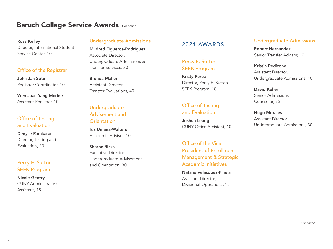#### Rosa Kelley Director, International Student Service Center, 10

#### Office of the Registrar

John Jan Seto Registrar Coordinator, 10

Wen Juan Yang-Merine Assistant Registrar, 10

## Office of Testing and Evaluation

Denyse Ramkaran Director, Testing and Evaluation, 20

## Percy E. Sutton SEEK Program

Nicole Gentry CUNY Administrative Assistant, 15

## Undergraduate Admissions

Mildred Figueroa-Rodriguez Associate Director, Undergraduate Admissions & Transfer Services, 30

Brenda Maller Assistant Director, Transfer Evaluations, 40

## Undergraduate Advisement and **Orientation**

Isis Umana-Walters Academic Advisor, 10

Sharon Ricks Executive Director, Undergraduate Advisement and Orientation, 30

## 2021 AWARDS

## Percy E. Sutton SEEK Program

Kristy Perez Director, Percy E. Sutton SEEK Program, 10

## Office of Testing and Evaluation

Joshua Leung CUNY Office Assistant, 10

Office of the Vice President of Enrollment Management & Strategic Academic Initiatives

Natalie Velasquez-Pinela Assistant Director, Divisional Operations, 15

## Undergraduate Admissions

Robert Hernandez Senior Transfer Advisor, 10

Kristin Pedicone Assistant Director, Undergraduate Admissions, 10

David Keller Senior Admissions Counselor, 25

Hugo Morales Assistant Director, Undergraduate Admissions, 30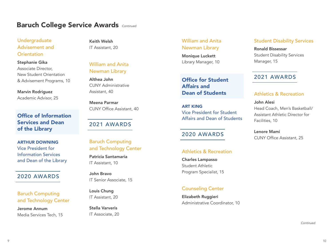## Undergraduate Advisement and **Orientation**

Stephanie Gika Associate Director, New Student Orientation & Advisement Programs, 10

Marvin Rodriguez Academic Advisor, 25

## Office of Information Services and Dean of the Library

ARTHUR DOWNING Vice President for Information Services and Dean of the Library

#### 2020 AWARDS

## Baruch Computing and Technology Center

Jerome Annum Media Services Tech, 15

Keith Welsh IT Assistant, 20

## William and Anita Newman Library

Althea John CUNY Administrative Assistant, 40

Meena Parmar CUNY Office Assistant, 40

# 2021 AWARDS

## Baruch Computing and Technology Center

Patricia Santamaria IT Assistant, 10

John Bravo IT Senior Associate, 15

Louis Chung IT Assistant, 20

Stella Varveris IT Associate, 20

#### William and Anita Newman Library

Monique Luckett Library Manager, 10

## Office for Student Affairs and Dean of Students

ART KING Vice President for Student Affairs and Dean of Students

## 2020 AWARDS

## Athletics & Recreation

Charles Lampasso Student Athletic Program Specialist, 15

## Counseling Center

Elizabeth Ruggieri Administrative Coordinator, 10

#### Student Disability Services

Ronald Bissessar Student Disability Services Manager, 15

## 2021 AWARDS

#### Athletics & Recreation

John Alesi Head Coach, Men's Basketball/ Assistant Athletic Director for Facilities, 10

Lenore Mami CUNY Office Assistant, 25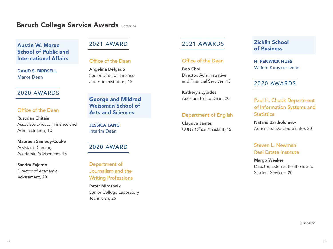## Austin W. Marxe School of Public and International Affairs

DAVID S. BIRDSELL Marxe Dean

## 2020 AWARDS

## Office of the Dean

#### Rusudan Chitaia

Associate Director, Finance and Administration, 10

#### Maureen Samedy-Cooke

Assistant Director, Academic Advisement, 15

Sandra Fajardo

Director of Academic Advisement, 20

# 2021 AWARD

#### Office of the Dean

Angelina Delgado Senior Director, Finance and Administration, 15

## George and Mildred Weissman School of Arts and Sciences

JESSICA LANG Interim Dean

2020 AWARD

Department of Journalism and the Writing Professions

Peter Miroshnik Senior College Laboratory Technician, 25

## 2021 AWARDS

#### Office of the Dean

Boo Choi Director, Administrative and Financial Services, 15

Katheryn Lypides Assistant to the Dean, 20

#### Department of English

Claudye James CUNY Office Assistant, 15

## Zicklin School of Business

H. FENWICK HUSS Willem Kooyker Dean

## 2020 AWARDS

Paul H. Chook Department of Information Systems and **Statistics** 

Natalie Bartholomew Administrative Coordinator, 20

## Steven L. Newman Real Estate Institute

#### Margo Weaker Director, External Relations and Student Services, 20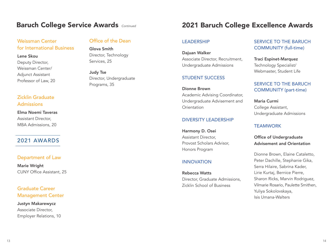## Weissman Center for International Business

## Lene Skou Deputy Director, Weissman Center/ Adjunct Assistant Professor of Law, 20

## Zicklin Graduate Admissions

Elma Noemi Taveras Assistant Director, MBA Admissions, 20

### 2021 AWARDS

#### Department of Law

Marie Wright CUNY Office Assistant, 25

## Graduate Career Management Center

#### Justyn Makarewycz Associate Director, Employer Relations, 10

#### Office of the Dean

Glova Smith Director, Technology Services, 25

Judy Tse Director, Undergraduate Programs, 35

# 2021 Baruch College Excellence Awards

#### **LEADERSHIP**

Dajuan Walker Associate Director, Recruitment, Undergraduate Admissions

#### STUDENT SUCCESS

Dionne Brown Academic Advising Coordinator, Undergraduate Advisement and Orientation

#### DIVERSITY LEADERSHIP

Harmony D. Osei Assistant Director, Provost Scholars Advisor, Honors Program

#### INNOVATION

Rebecca Watts Director, Graduate Admissions, Zicklin School of Business

#### SERVICE TO THE BARUCH COMMUNITY (full-time)

Traci Espinet-Marquez Technology Specialist/ Webmaster, Student Life

#### SERVICE TO THE BARUCH COMMUNITY (part-time)

Maria Curmi College Assistant, Undergraduate Admissions

#### **TEAMWORK**

#### Office of Undergraduate Advisement and Orientation

Dionne Brown, Elaine Cataletto, Peter Dachille, Stephanie Gika, Serra Hilaire, Sabrina Kader, Lirie Kurtaj, Bernice Pierre, Sharon Ricks, Marvin Rodriguez, Vilmarie Rosario, Paulette Smithen, Yuliya Sokolovskaya, Isis Umana-Walters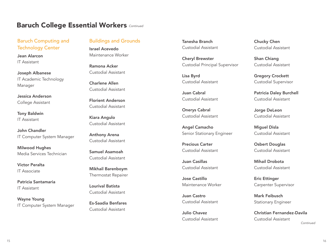## Baruch Computing and Technology Center

Jean Alarcon IT Assistant

Joseph Albanese IT Academic Technology Manager

Jessica Anderson College Assistant

Tony Baldwin IT Assistant

 John Chandler IT Computer System Manager

Milwood Hughes Media Services Technician

Victor Peralta IT Associate

Patricia Santamaria IT Assistant

Wayne Young IT Computer System Manager

#### Buildings and Grounds

Israel Acevedo Maintenance Worker

Ramona Acker Custodial Assistant

Charlene Allen Custodial Assistant

Florient Anderson Custodial Assistant

Kiara Angulo Custodial Assistant

Anthony Arena Custodial Assistant

Samuel Asamoah Custodial Assistant

Mikhail Barenboym Thermostat Repairer

Lourival Batista Custodial Assistant

Es-Saadia Benfares Custodial Assistant

Tanesha Branch Custodial Assistant

Cheryl Brewster Custodial Principal Supervisor

Lisa Byrd Custodial Assistant

Juan Cabral Custodial Assistant

Onerys Cabral Custodial Assistant

Angel Camacho Senior Stationary Engineer

Precious Carter Custodial Assistant

 Juan Casillas Custodial Assistant

Jose Castillo Maintenance Worker

Juan Castro Custodial Assistant

Julio Chavez Custodial Assistant Chucky Chen Custodial Assistant

Shan Chiang Custodial Assistant

Gregory Crockett Custodial Supervisor

Patricia Daley Burchell Custodial Assistant

Jorge DeLeon Custodial Assistant

Miguel Disla Custodial Assistant

Osbert Douglas Custodial Assistant

Mihail Drobota Custodial Assistant

Eric Ettinger Carpenter Supervisor

Mark Feibusch Stationary Engineer

Christian Fernandez-Davila Custodial Assistant *Continued*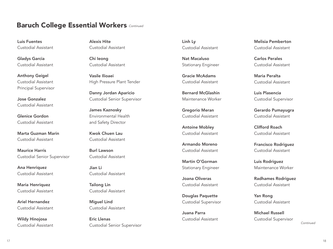Luis Fuentes Custodial Assistant

Gladys Garcia Custodial Assistant

Anthony Geigel Custodial Assistant Principal Supervisor

Jose Gonzalez Custodial Assistant

Glenice Gordon Custodial Assistant

Marta Guzman Marin Custodial Assistant

Maurice Harris Custodial Senior Supervisor

Ana Henriquez Custodial Assistant

Maria Henriquez Custodial Assistant

Ariel Hernandez Custodial Assistant

Wildy Hinojosa Custodial Assistant Alexis Hite Custodial Assistant

Chi Ieong Custodial Assistant

Vasile Ilioaei High Pressure Plant Tender

Danny Jordan Aparicio Custodial Senior Supervisor

James Kaznosky Environmental Health and Safety Director

Kwok Chuen Lau Custodial Assistant

Burl Lawson Custodial Assistant

Jian Li Custodial Assistant

Tailong Lin Custodial Assistant

Miguel Lind Custodial Assistant

Eric Llenas Custodial Senior Supervisor

Nat Macaluso Carlos Perales

Gracie McAdams Maria Peralta

Bernard McGlashin **Luis Plasencia** 

Antoine Mobley **Clifford Roach** 

Martin O'Gorman Luis Rodriguez

Douglas Paquette Yan Rong Custodial Supervisor Custodial Assistant

Juana Parra **Michael Russell** 

Linh Ly Melisia Pemberton Custodial Assistant Custodial Assistant

Stationary Engineer Custodial Assistant

Custodial Assistant Custodial Assistant

Maintenance Worker Custodial Supervisor

Gregorio Meran Gerardo Pumayugra Custodial Assistant Custodial Assistant

Custodial Assistant Custodial Assistant

 Armando Moreno Francisco Rodriguez Custodial Assistant Custodial Assistant

Stationary Engineer Maintenance Worker

Joana Oliveras **Radhames Rodriguez** Custodial Assistant Custodial Assistant

Custodial Assistant Custodial Supervisor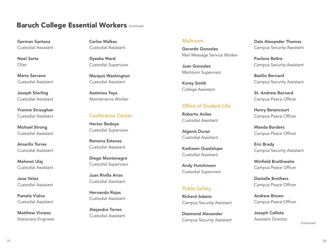German Santana Custodial Assistant

Noel Sarte Oiler

 Mario Serrano Custodial Assistant

Joseph Sterling Custodial Assistant

Yvonne Straughan Custodial Assistant

Michael Strong Custodial Assistant

Amarilis Torres Custodial Assistant

Mehmet Ulaj Custodial Assistant

Jose Velez Custodial Assistant

Pamela Vialva Custodial Assistant

Matthew Viviano Stationary Engineer Carlos Walkes Custodial Assistant

Dyesha Ward Custodial Supervisor

Marquis Washington Custodial Assistant

Assimiou Yaya Maintenance Worker

#### Conference Center

Hector Bedoya Custodial Supervisor

Ramona Estevez Custodial Assistant

Diego Montenegro Custodial Supervisor

Juan Rivilla Arias Custodial Assistant

Hernando Rojas Custodial Assistant

Alejandra Torres Custodial Assistant

#### Mailroom

Gerardo Gonzalez Mail Message Service Worker

Juan Gonzalez Mailroom Supervisor

Korey Smith College Assistant

## Office of Student Life

Roberto Aviles Custodial Assistant

Algenis Duran Custodial Assistant

Kashawn Guadalupe Custodial Assistant

Andy Hutchinson Custodial Supervisor

#### Public Safety

Richard Adams Campus Security Assistant

Desmond Alexander Campus Security Assistant

Dale Alexander Thomas Campus Security Assistant

Pavlova Beltre Campus Security Assistant

Basilio Bernard Campus Security Assistant

St. Andrew Bernard Campus Peace Officer

Henry Betancourt Campus Peace Officer

Wanda Borders Campus Peace Officer

Eric Brady Campus Security Assistant

Winfield Braithwaite Campus Peace Officer

Danielle Brothers Campus Peace Officer

Andrew Brown Campus Peace Officer

Joseph Calliste Assistant Director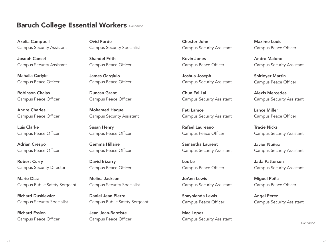Akelia Campbell Campus Security Assistant

Joseph Cancel Campus Security Assistant

Mahalia Carlyle Campus Peace Officer

Robinson Chalas Duncan Grant Chun Fai Lai

Andre Charles Campus Peace Officer

Luis Clarke Campus Peace Officer

Adrian Crespo Campus Peace Officer

Robert Curry Campus Security Director

Mario Diaz Melina Jackson JoAnn Lewis Campus Public Safety Sergeant Campus Security Specialist Campus Security Assistant

Richard Duskiewicz Campus Security Specialist

Richard Essien Campus Peace Officer

Ovid Forde Campus Security Specialist

Shandel Frith Campus Peace Officer

James Gargiulo Campus Peace Officer

Mohamed Haque Campus Security Assistant

Susan Henry Campus Peace Officer

Gemma Hillaire Campus Peace Officer

David Irizarry Campus Peace Officer

Daniel Jean Pierre Campus Public Safety Sergeant

Jean Jean-Baptiste Campus Peace Officer Chester John Campus Security Assistant

Kevin Jones Campus Peace Officer

Joshua Joseph Campus Security Assistant

Campus Peace Officer Campus Peace Officer Campus Campus Security Assistant

Feti Lamce Campus Security Assistant

Rafael Laureano Campus Peace Officer

Samantha Laurent Campus Security Assistant

Loc Le Campus Peace Officer

Shayolanda Lewis Campus Peace Officer

Mac Lopez Campus Security Assistant

Maxime Louis Campus Peace Officer

Andre Malone Campus Security Assistant

Shirleyer Martin Campus Peace Officer

Alexis Mercedes Campus Security Assistant

Lance Miller Campus Peace Officer

Tracie Nicks Campus Security Assistant

Javier Nuñez Campus Security Assistant

Jada Patterson Campus Security Assistant

Miguel Peña Campus Peace Officer

Angel Perez Campus Security Assistant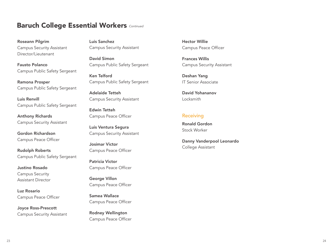Roseann Pilgrim Campus Security Assistant Director/Lieutenant

Fausto Polanco Campus Public Safety Sergeant

Ramona Prosper Campus Public Safety Sergeant

Luis Renvill Campus Public Safety Sergeant

Anthony Richards Campus Security Assistant

Gordon Richardson Campus Peace Officer

Rudolph Roberts Campus Public Safety Sergeant

Justino Rosado Campus Security Assistant Director

Luz Rosario Campus Peace Officer

Joyce Ross-Prescott Campus Security Assistant

Luis Sanchez Campus Security Assistant

David Simon Campus Public Safety Sergeant

Ken Telford Campus Public Safety Sergeant

Adelaide Tetteh Campus Security Assistant

Edwin Tetteh Campus Peace Officer

Luis Ventura Segura Campus Security Assistant

Josimar Victor Campus Peace Officer

Patricia Victor Campus Peace Officer

George Villon Campus Peace Officer

Samea Wallace Campus Peace Officer

Rodney Wellington Campus Peace Officer Hector Willie Campus Peace Officer

Frances Willis Campus Security Assistant

Deshan Yang IT Senior Associate

David Yohananov Locksmith

#### Receiving

Ronald Gordon Stock Worker

Danny Vanderpool Leonardo College Assistant